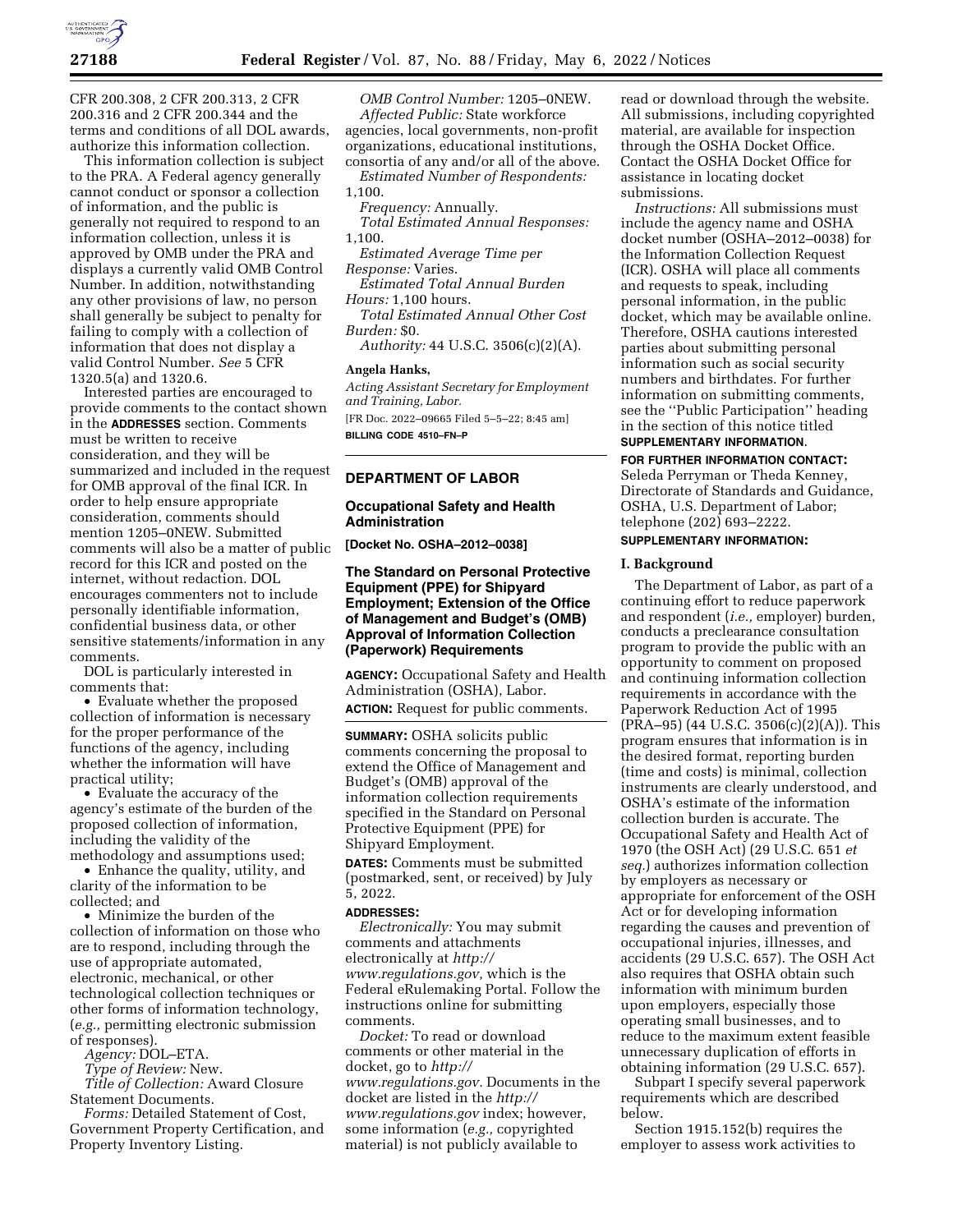

CFR 200.308, 2 CFR 200.313, 2 CFR 200.316 and 2 CFR 200.344 and the terms and conditions of all DOL awards, authorize this information collection.

This information collection is subject to the PRA. A Federal agency generally cannot conduct or sponsor a collection of information, and the public is generally not required to respond to an information collection, unless it is approved by OMB under the PRA and displays a currently valid OMB Control Number. In addition, notwithstanding any other provisions of law, no person shall generally be subject to penalty for failing to comply with a collection of information that does not display a valid Control Number. *See* 5 CFR 1320.5(a) and 1320.6.

Interested parties are encouraged to provide comments to the contact shown in the **ADDRESSES** section. Comments must be written to receive consideration, and they will be summarized and included in the request for OMB approval of the final ICR. In order to help ensure appropriate consideration, comments should mention 1205–0NEW. Submitted comments will also be a matter of public record for this ICR and posted on the internet, without redaction. DOL encourages commenters not to include personally identifiable information, confidential business data, or other sensitive statements/information in any comments.

DOL is particularly interested in comments that:

• Evaluate whether the proposed collection of information is necessary for the proper performance of the functions of the agency, including whether the information will have practical utility;

• Evaluate the accuracy of the agency's estimate of the burden of the proposed collection of information, including the validity of the methodology and assumptions used;

• Enhance the quality, utility, and clarity of the information to be collected; and

• Minimize the burden of the collection of information on those who are to respond, including through the use of appropriate automated, electronic, mechanical, or other technological collection techniques or other forms of information technology, (*e.g.,* permitting electronic submission of responses).

*Agency:* DOL–ETA.

*Type of Review:* New.

*Title of Collection:* Award Closure Statement Documents.

*Forms:* Detailed Statement of Cost, Government Property Certification, and Property Inventory Listing.

*OMB Control Number:* 1205–0NEW. *Affected Public:* State workforce agencies, local governments, non-profit organizations, educational institutions, consortia of any and/or all of the above.

*Estimated Number of Respondents:*  1,100.

*Frequency:* Annually.

*Total Estimated Annual Responses:*  1,100.

*Estimated Average Time per Response:* Varies.

*Estimated Total Annual Burden* 

*Hours:* 1,100 hours.

*Total Estimated Annual Other Cost Burden:* \$0.

*Authority:* 44 U.S.C. 3506(c)(2)(A).

#### **Angela Hanks,**

*Acting Assistant Secretary for Employment and Training, Labor.* 

[FR Doc. 2022–09665 Filed 5–5–22; 8:45 am] **BILLING CODE 4510–FN–P** 

# **DEPARTMENT OF LABOR**

## **Occupational Safety and Health Administration**

**[Docket No. OSHA–2012–0038]** 

## **The Standard on Personal Protective Equipment (PPE) for Shipyard Employment; Extension of the Office of Management and Budget's (OMB) Approval of Information Collection (Paperwork) Requirements**

**AGENCY:** Occupational Safety and Health Administration (OSHA), Labor.

**ACTION:** Request for public comments.

**SUMMARY:** OSHA solicits public comments concerning the proposal to extend the Office of Management and Budget's (OMB) approval of the information collection requirements specified in the Standard on Personal Protective Equipment (PPE) for Shipyard Employment.

**DATES:** Comments must be submitted (postmarked, sent, or received) by July 5, 2022.

### **ADDRESSES:**

*Electronically:* You may submit comments and attachments electronically at *[http://](http://www.regulations.gov) [www.regulations.gov,](http://www.regulations.gov)* which is the Federal eRulemaking Portal. Follow the instructions online for submitting comments.

*Docket:* To read or download comments or other material in the docket, go to *[http://](http://www.regulations.gov) [www.regulations.gov.](http://www.regulations.gov)* Documents in the docket are listed in the *[http://](http://www.regulations.gov) [www.regulations.gov](http://www.regulations.gov)* index; however, some information (*e.g.,* copyrighted material) is not publicly available to

read or download through the website. All submissions, including copyrighted material, are available for inspection through the OSHA Docket Office. Contact the OSHA Docket Office for assistance in locating docket submissions.

*Instructions:* All submissions must include the agency name and OSHA docket number (OSHA–2012–0038) for the Information Collection Request (ICR). OSHA will place all comments and requests to speak, including personal information, in the public docket, which may be available online. Therefore, OSHA cautions interested parties about submitting personal information such as social security numbers and birthdates. For further information on submitting comments, see the ''Public Participation'' heading in the section of this notice titled **SUPPLEMENTARY INFORMATION**.

**FOR FURTHER INFORMATION CONTACT:**  Seleda Perryman or Theda Kenney, Directorate of Standards and Guidance, OSHA, U.S. Department of Labor; telephone (202) 693–2222.

### **SUPPLEMENTARY INFORMATION:**

### **I. Background**

The Department of Labor, as part of a continuing effort to reduce paperwork and respondent (*i.e.,* employer) burden, conducts a preclearance consultation program to provide the public with an opportunity to comment on proposed and continuing information collection requirements in accordance with the Paperwork Reduction Act of 1995 (PRA–95) (44 U.S.C. 3506(c)(2)(A)). This program ensures that information is in the desired format, reporting burden (time and costs) is minimal, collection instruments are clearly understood, and OSHA's estimate of the information collection burden is accurate. The Occupational Safety and Health Act of 1970 (the OSH Act) (29 U.S.C. 651 *et seq.*) authorizes information collection by employers as necessary or appropriate for enforcement of the OSH Act or for developing information regarding the causes and prevention of occupational injuries, illnesses, and accidents (29 U.S.C. 657). The OSH Act also requires that OSHA obtain such information with minimum burden upon employers, especially those operating small businesses, and to reduce to the maximum extent feasible unnecessary duplication of efforts in obtaining information (29 U.S.C. 657).

Subpart I specify several paperwork requirements which are described below.

Section 1915.152(b) requires the employer to assess work activities to